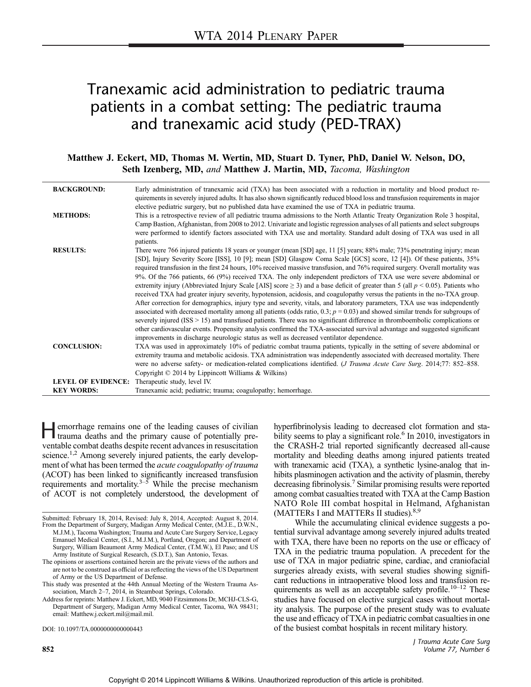# Tranexamic acid administration to pediatric trauma patients in a combat setting: The pediatric trauma and tranexamic acid study (PED-TRAX)

# Matthew J. Eckert, MD, Thomas M. Wertin, MD, Stuart D. Tyner, PhD, Daniel W. Nelson, DO, Seth Izenberg, MD, and Matthew J. Martin, MD, Tacoma, Washington

| <b>BACKGROUND:</b>        | Early administration of tranexamic acid (TXA) has been associated with a reduction in mortality and blood product re-                |
|---------------------------|--------------------------------------------------------------------------------------------------------------------------------------|
|                           | quirements in severely injured adults. It has also shown significantly reduced blood loss and transfusion requirements in major      |
|                           | elective pediatric surgery, but no published data have examined the use of TXA in pediatric trauma.                                  |
| <b>METHODS:</b>           | This is a retrospective review of all pediatric trauma admissions to the North Atlantic Treaty Organization Role 3 hospital,         |
|                           | Camp Bastion, Afghanistan, from 2008 to 2012. Univariate and logistic regression analyses of all patients and select subgroups       |
|                           | were performed to identify factors associated with TXA use and mortality. Standard adult dosing of TXA was used in all               |
|                           | patients.                                                                                                                            |
| <b>RESULTS:</b>           | There were 766 injured patients 18 years or younger (mean [SD] age, 11 [5] years; 88% male; 73% penetrating injury; mean             |
|                           | [SD], Injury Severity Score [ISS], 10 [9]; mean [SD] Glasgow Coma Scale [GCS] score, 12 [4]). Of these patients, 35%                 |
|                           | required transfusion in the first 24 hours, 10% received massive transfusion, and 76% required surgery. Overall mortality was        |
|                           | 9%. Of the 766 patients, 66 (9%) received TXA. The only independent predictors of TXA use were severe abdominal or                   |
|                           |                                                                                                                                      |
|                           | extremity injury (Abbreviated Injury Scale [AIS] score $\geq$ 3) and a base deficit of greater than 5 (all $p$ < 0.05). Patients who |
|                           | received TXA had greater injury severity, hypotension, acidosis, and coagulopathy versus the patients in the no-TXA group.           |
|                           | After correction for demographics, injury type and severity, vitals, and laboratory parameters, TXA use was independently            |
|                           | associated with decreased mortality among all patients (odds ratio, $0.3$ ; $p = 0.03$ ) and showed similar trends for subgroups of  |
|                           | severely injured (ISS $>$ 15) and transfused patients. There was no significant difference in thromboembolic complications or        |
|                           | other cardiovascular events. Propensity analysis confirmed the TXA-associated survival advantage and suggested significant           |
|                           | improvements in discharge neurologic status as well as decreased ventilator dependence.                                              |
| <b>CONCLUSION:</b>        | TXA was used in approximately 10% of pediatric combat trauma patients, typically in the setting of severe abdominal or               |
|                           | extremity trauma and metabolic acidosis. TXA administration was independently associated with decreased mortality. There             |
|                           | were no adverse safety- or medication-related complications identified. ( <i>J Trauma Acute Care Surg.</i> 2014;77: 852–858.         |
|                           | Copyright $\odot$ 2014 by Lippincott Williams & Wilkins)                                                                             |
| <b>LEVEL OF EVIDENCE:</b> | Therapeutic study, level IV.                                                                                                         |
| <b>KEY WORDS:</b>         | Tranexamic acid; pediatric; trauma; coagulopathy; hemorrhage.                                                                        |
|                           |                                                                                                                                      |

Hemorrhage remains one of the leading causes of civilian trauma deaths and the primary cause of potentially preventable combat deaths despite recent advances in resuscitation science.<sup>1,2</sup> Among severely injured patients, the early development of what has been termed the *acute coagulopathy of trauma* (ACOT) has been linked to significantly increased transfusion requirements and mortality.<sup>3-5</sup> While the precise mechanism of ACOT is not completely understood, the development of

DOI: 10.1097/TA.0000000000000443

hyperfibrinolysis leading to decreased clot formation and stability seems to play a significant role.<sup>6</sup> In 2010, investigators in the CRASH-2 trial reported significantly decreased all-cause mortality and bleeding deaths among injured patients treated with tranexamic acid (TXA), a synthetic lysine-analog that inhibits plasminogen activation and the activity of plasmin, thereby decreasing fibrinolysis.7 Similar promising results were reported among combat casualties treated with TXA at the Camp Bastion NATO Role III combat hospital in Helmand, Afghanistan (MATTERs I and MATTERs II studies).<sup>8,9</sup>

While the accumulating clinical evidence suggests a potential survival advantage among severely injured adults treated with TXA, there have been no reports on the use or efficacy of TXA in the pediatric trauma population. A precedent for the use of TXA in major pediatric spine, cardiac, and craniofacial surgeries already exists, with several studies showing significant reductions in intraoperative blood loss and transfusion requirements as well as an acceptable safety profile.<sup>10-12</sup> These studies have focused on elective surgical cases without mortality analysis. The purpose of the present study was to evaluate the use and efficacy of TXA in pediatric combat casualties in one of the busiest combat hospitals in recent military history.

Submitted: February 18, 2014, Revised: July 8, 2014, Accepted: August 8, 2014. From the Department of Surgery, Madigan Army Medical Center, (M.J.E., D.W.N., M.J.M.), Tacoma Washington; Trauma and Acute Care Surgery Service, Legacy Emanuel Medical Center, (S.I., M.J.M.), Portland, Oregon; and Department of Surgery, William Beaumont Army Medical Center, (T.M.W.), El Paso; and US Army Institute of Surgical Research, (S.D.T.), San Antonio, Texas.

The opinions or assertions contained herein are the private views of the authors and are not to be construed as official or as reflecting the views of the US Department of Army or the US Department of Defense.

This study was presented at the 44th Annual Meeting of the Western Trauma Association, March 2-7, 2014, in Steamboat Springs, Colorado.

Address for reprints: Matthew J. Eckert, MD, 9040 Fitzsimmons Dr, MCHJ-CLS-G, Department of Surgery, Madigan Army Medical Center, Tacoma, WA 98431; email: Matthew.j.eckert.mil@mail.mil.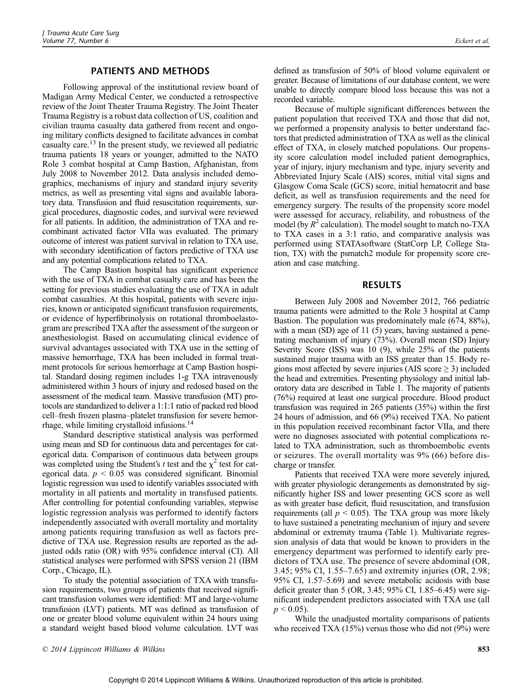### PATIENTS AND METHODS

Following approval of the institutional review board of Madigan Army Medical Center, we conducted a retrospective review of the Joint Theater Trauma Registry. The Joint Theater Trauma Registry is a robust data collection of US, coalition and civilian trauma casualty data gathered from recent and ongoing military conflicts designed to facilitate advances in combat casualty care.<sup>13</sup> In the present study, we reviewed all pediatric trauma patients 18 years or younger, admitted to the NATO Role 3 combat hospital at Camp Bastion, Afghanistan, from July 2008 to November 2012. Data analysis included demographics, mechanisms of injury and standard injury severity metrics, as well as presenting vital signs and available laboratory data. Transfusion and fluid resuscitation requirements, surgical procedures, diagnostic codes, and survival were reviewed for all patients. In addition, the administration of TXA and recombinant activated factor VIIa was evaluated. The primary outcome of interest was patient survival in relation to TXA use, with secondary identification of factors predictive of TXA use and any potential complications related to TXA.

The Camp Bastion hospital has significant experience with the use of TXA in combat casualty care and has been the setting for previous studies evaluating the use of TXA in adult combat casualties. At this hospital, patients with severe injuries, known or anticipated significant transfusion requirements, or evidence of hyperfibrinolysis on rotational thromboelastogram are prescribed TXA after the assessment of the surgeon or anesthesiologist. Based on accumulating clinical evidence of survival advantages associated with TXA use in the setting of massive hemorrhage, TXA has been included in formal treatment protocols for serious hemorrhage at Camp Bastion hospital. Standard dosing regimen includes 1-g TXA intravenously administered within 3 hours of injury and redosed based on the assessment of the medical team. Massive transfusion (MT) protocols are standardized to deliver a 1:1:1 ratio of packed red blood cell–fresh frozen plasma–platelet transfusion for severe hemorrhage, while limiting crystalloid infusions.14

Standard descriptive statistical analysis was performed using mean and SD for continuous data and percentages for categorical data. Comparison of continuous data between groups was completed using the Student's t test and the  $\chi^2$  test for categorical data.  $p \leq 0.05$  was considered significant. Binomial logistic regression was used to identify variables associated with mortality in all patients and mortality in transfused patients. After controlling for potential confounding variables, stepwise logistic regression analysis was performed to identify factors independently associated with overall mortality and mortality among patients requiring transfusion as well as factors predictive of TXA use. Regression results are reported as the adjusted odds ratio (OR) with 95% confidence interval (CI). All statistical analyses were performed with SPSS version 21 (IBM Corp., Chicago, IL).

To study the potential association of TXA with transfusion requirements, two groups of patients that received significant transfusion volumes were identified: MT and large-volume transfusion (LVT) patients. MT was defined as transfusion of one or greater blood volume equivalent within 24 hours using a standard weight based blood volume calculation. LVT was

defined as transfusion of 50% of blood volume equivalent or greater. Because of limitations of our database content, we were unable to directly compare blood loss because this was not a recorded variable.

Because of multiple significant differences between the patient population that received TXA and those that did not, we performed a propensity analysis to better understand factors that predicted administration of TXA as well as the clinical effect of TXA, in closely matched populations. Our propensity score calculation model included patient demographics, year of injury, injury mechanism and type, injury severity and Abbreviated Injury Scale (AIS) scores, initial vital signs and Glasgow Coma Scale (GCS) score, initial hematocrit and base deficit, as well as transfusion requirements and the need for emergency surgery. The results of the propensity score model were assessed for accuracy, reliability, and robustness of the model (by  $R^2$  calculation). The model sought to match no-TXA to TXA cases in a 3:1 ratio, and comparative analysis was performed using STATAsoftware (StatCorp LP, College Station, TX) with the psmatch2 module for propensity score creation and case matching.

#### RESULTS

Between July 2008 and November 2012, 766 pediatric trauma patients were admitted to the Role 3 hospital at Camp Bastion. The population was predominately male (674, 88%), with a mean (SD) age of 11 (5) years, having sustained a penetrating mechanism of injury (73%). Overall mean (SD) Injury Severity Score (ISS) was 10 (9), while 25% of the patients sustained major trauma with an ISS greater than 15. Body regions most affected by severe injuries (AIS score  $\geq$  3) included the head and extremities. Presenting physiology and initial laboratory data are described in Table 1. The majority of patients (76%) required at least one surgical procedure. Blood product transfusion was required in 265 patients (35%) within the first 24 hours of admission, and 66 (9%) received TXA. No patient in this population received recombinant factor VIIa, and there were no diagnoses associated with potential complications related to TXA administration, such as thromboembolic events or seizures. The overall mortality was 9% (66) before discharge or transfer.

Patients that received TXA were more severely injured, with greater physiologic derangements as demonstrated by significantly higher ISS and lower presenting GCS score as well as with greater base deficit, fluid resuscitation, and transfusion requirements (all  $p \le 0.05$ ). The TXA group was more likely to have sustained a penetrating mechanism of injury and severe abdominal or extremity trauma (Table 1). Multivariate regression analysis of data that would be known to providers in the emergency department was performed to identify early predictors of TXA use. The presence of severe abdominal (OR, 3.45;  $95\%$  CI, 1.55–7.65) and extremity injuries (OR, 2.98; 95% CI,  $1.57-5.69$ ) and severe metabolic acidosis with base deficit greater than 5 (OR, 3.45; 95% CI, 1.85–6.45) were significant independent predictors associated with TXA use (all  $p < 0.05$ ).

While the unadjusted mortality comparisons of patients who received TXA (15%) versus those who did not (9%) were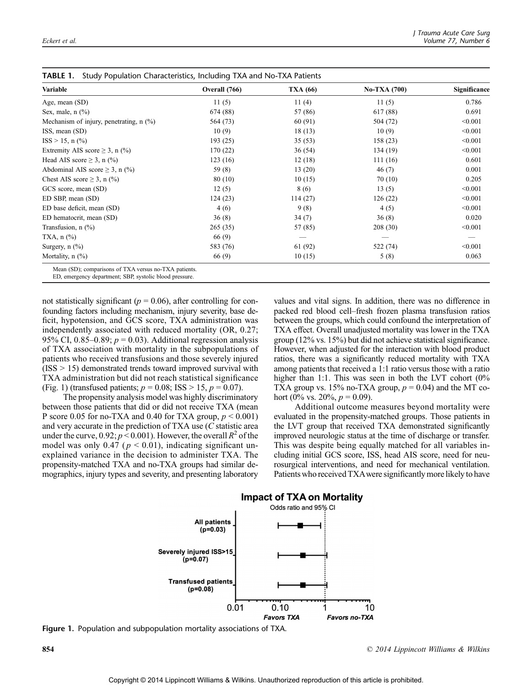| <b>Variable</b>                              | Overall (766) | <b>TXA (66)</b> | <b>No-TXA (700)</b> | Significance |
|----------------------------------------------|---------------|-----------------|---------------------|--------------|
| Age, mean (SD)                               | 11(5)         | 11 $(4)$        | 11(5)               | 0.786        |
| Sex, male, $n$ $\left(\frac{9}{6}\right)$    | 674 (88)      | 57 (86)         | 617 (88)            | 0.691        |
| Mechanism of injury, penetrating, $n$ $(\%)$ | 564 (73)      | 60 (91)         | 504 (72)            | < 0.001      |
| ISS, mean (SD)                               | 10(9)         | 18(13)          | 10(9)               | < 0.001      |
| $ISS > 15$ , n $(\% )$                       | 193(25)       | 35(53)          | 158 (23)            | < 0.001      |
| Extremity AIS score $\geq$ 3, n (%)          | 170 (22)      | 36(54)          | 134 (19)            | < 0.001      |
| Head AIS score $\geq$ 3, n (%)               | 123(16)       | 12(18)          | 111(16)             | 0.601        |
| Abdominal AIS score $\geq$ 3, n (%)          | 59(8)         | 13(20)          | 46(7)               | 0.001        |
| Chest AIS score $\geq$ 3, n (%)              | 80 (10)       | 10(15)          | 70 (10)             | 0.205        |
| GCS score, mean (SD)                         | 12(5)         | 8 (6)           | 13(5)               | < 0.001      |
| ED SBP, mean (SD)                            | 124(23)       | 114(27)         | 126(22)             | < 0.001      |
| ED base deficit, mean (SD)                   | 4(6)          | 9(8)            | 4(5)                | < 0.001      |
| ED hematocrit, mean (SD)                     | 36(8)         | 34(7)           | 36(8)               | 0.020        |
| Transfusion, $n$ $(\%)$                      | 265(35)       | 57 (85)         | 208(30)             | < 0.001      |
| TXA, $n$ $\left(\frac{9}{6}\right)$          | 66 (9)        |                 |                     |              |
| Surgery, $n$ $(\%)$                          | 583 (76)      | 61 (92)         | 522 (74)            | < 0.001      |
| Mortality, $n$ $(\%)$                        | 66 (9)        | 10(15)          | 5(8)                | 0.063        |

not statistically significant ( $p = 0.06$ ), after controlling for confounding factors including mechanism, injury severity, base deficit, hypotension, and GCS score, TXA administration was independently associated with reduced mortality (OR, 0.27; 95% CI, 0.85–0.89;  $p = 0.03$ ). Additional regression analysis of TXA association with mortality in the subpopulations of patients who received transfusions and those severely injured  $(ISS > 15)$  demonstrated trends toward improved survival with TXA administration but did not reach statistical significance (Fig. 1) (transfused patients;  $p = 0.08$ ; ISS  $> 15$ ,  $p = 0.07$ ).

The propensity analysis model was highly discriminatory between those patients that did or did not receive TXA (mean P score 0.05 for no-TXA and 0.40 for TXA group,  $p \le 0.001$ ) and very accurate in the prediction of TXA use (C statistic area under the curve,  $0.92$ ;  $p < 0.001$ ). However, the overall  $R^2$  of the model was only 0.47 ( $p < 0.01$ ), indicating significant unexplained variance in the decision to administer TXA. The propensity-matched TXA and no-TXA groups had similar demographics, injury types and severity, and presenting laboratory values and vital signs. In addition, there was no difference in packed red blood cell–fresh frozen plasma transfusion ratios between the groups, which could confound the interpretation of TXA effect. Overall unadjusted mortality was lower in the TXA group (12% vs. 15%) but did not achieve statistical significance. However, when adjusted for the interaction with blood product ratios, there was a significantly reduced mortality with TXA among patients that received a 1:1 ratio versus those with a ratio higher than 1:1. This was seen in both the LVT cohort (0% TXA group vs. 15% no-TXA group,  $p = 0.04$ ) and the MT cohort (0% vs. 20%,  $p = 0.09$ ).

Additional outcome measures beyond mortality were evaluated in the propensity-matched groups. Those patients in the LVT group that received TXA demonstrated significantly improved neurologic status at the time of discharge or transfer. This was despite being equally matched for all variables including initial GCS score, ISS, head AIS score, need for neurosurgical interventions, and need for mechanical ventilation. Patients who received TXAwere significantly more likely to have



Figure 1. Population and subpopulation mortality associations of TXA.

854 **854 2014** Lippincott Williams & Wilkins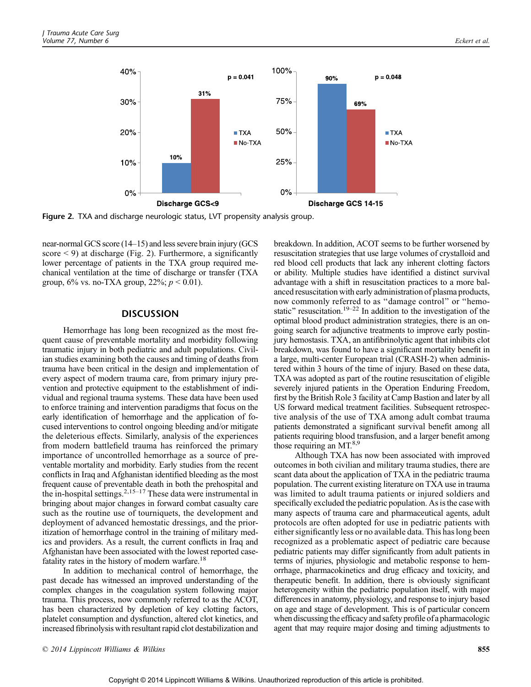

Figure 2. TXA and discharge neurologic status, LVT propensity analysis group.

near-normal GCS score (14–15) and less severe brain injury (GCS score  $\leq$  9) at discharge (Fig. 2). Furthermore, a significantly lower percentage of patients in the TXA group required mechanical ventilation at the time of discharge or transfer (TXA group,  $6\%$  vs. no-TXA group,  $22\%$ ;  $p < 0.01$ ).

## **DISCUSSION**

Hemorrhage has long been recognized as the most frequent cause of preventable mortality and morbidity following traumatic injury in both pediatric and adult populations. Civilian studies examining both the causes and timing of deaths from trauma have been critical in the design and implementation of every aspect of modern trauma care, from primary injury prevention and protective equipment to the establishment of individual and regional trauma systems. These data have been used to enforce training and intervention paradigms that focus on the early identification of hemorrhage and the application of focused interventions to control ongoing bleeding and/or mitigate the deleterious effects. Similarly, analysis of the experiences from modern battlefield trauma has reinforced the primary importance of uncontrolled hemorrhage as a source of preventable mortality and morbidity. Early studies from the recent conflicts in Iraq and Afghanistan identified bleeding as the most frequent cause of preventable death in both the prehospital and the in-hospital settings.<sup>2,15-17</sup> These data were instrumental in bringing about major changes in forward combat casualty care such as the routine use of tourniquets, the development and deployment of advanced hemostatic dressings, and the prioritization of hemorrhage control in the training of military medics and providers. As a result, the current conflicts in Iraq and Afghanistan have been associated with the lowest reported casefatality rates in the history of modern warfare.<sup>18</sup>

In addition to mechanical control of hemorrhage, the past decade has witnessed an improved understanding of the complex changes in the coagulation system following major trauma. This process, now commonly referred to as the ACOT, has been characterized by depletion of key clotting factors, platelet consumption and dysfunction, altered clot kinetics, and increased fibrinolysis with resultant rapid clot destabilization and

breakdown. In addition, ACOT seems to be further worsened by resuscitation strategies that use large volumes of crystalloid and red blood cell products that lack any inherent clotting factors or ability. Multiple studies have identified a distinct survival advantage with a shift in resuscitation practices to a more balanced resuscitation with early administration of plasma products, now commonly referred to as ''damage control'' or ''hemostatic" resuscitation.<sup>19-22</sup> In addition to the investigation of the optimal blood product administration strategies, there is an ongoing search for adjunctive treatments to improve early postinjury hemostasis. TXA, an antifibrinolytic agent that inhibits clot breakdown, was found to have a significant mortality benefit in a large, multi-center European trial (CRASH-2) when administered within 3 hours of the time of injury. Based on these data, TXA was adopted as part of the routine resuscitation of eligible severely injured patients in the Operation Enduring Freedom, first by the British Role 3 facility at Camp Bastion and later by all US forward medical treatment facilities. Subsequent retrospective analysis of the use of TXA among adult combat trauma patients demonstrated a significant survival benefit among all patients requiring blood transfusion, and a larger benefit among those requiring an MT. $8,9$ 

Although TXA has now been associated with improved outcomes in both civilian and military trauma studies, there are scant data about the application of TXA in the pediatric trauma population. The current existing literature on TXA use in trauma was limited to adult trauma patients or injured soldiers and specifically excluded the pediatric population. As is the case with many aspects of trauma care and pharmaceutical agents, adult protocols are often adopted for use in pediatric patients with either significantly less or no available data. This has long been recognized as a problematic aspect of pediatric care because pediatric patients may differ significantly from adult patients in terms of injuries, physiologic and metabolic response to hemorrhage, pharmacokinetics and drug efficacy and toxicity, and therapeutic benefit. In addition, there is obviously significant heterogeneity within the pediatric population itself, with major differences in anatomy, physiology, and response to injury based on age and stage of development. This is of particular concern when discussing the efficacy and safety profile of a pharmacologic agent that may require major dosing and timing adjustments to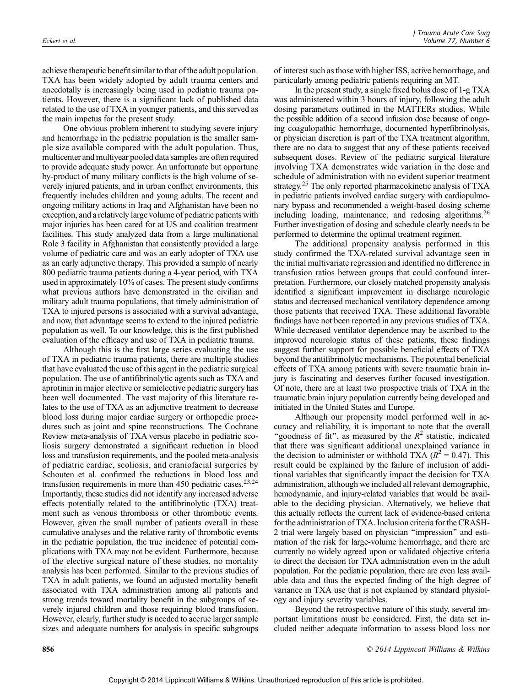achieve therapeutic benefit similar to that of the adult population. TXA has been widely adopted by adult trauma centers and anecdotally is increasingly being used in pediatric trauma patients. However, there is a significant lack of published data related to the use of TXA in younger patients, and this served as the main impetus for the present study.

One obvious problem inherent to studying severe injury and hemorrhage in the pediatric population is the smaller sample size available compared with the adult population. Thus, multicenter and multiyear pooled data samples are often required to provide adequate study power. An unfortunate but opportune by-product of many military conflicts is the high volume of severely injured patients, and in urban conflict environments, this frequently includes children and young adults. The recent and ongoing military actions in Iraq and Afghanistan have been no exception, and a relatively large volume of pediatric patients with major injuries has been cared for at US and coalition treatment facilities. This study analyzed data from a large multinational Role 3 facility in Afghanistan that consistently provided a large volume of pediatric care and was an early adopter of TXA use as an early adjunctive therapy. This provided a sample of nearly 800 pediatric trauma patients during a 4-year period, with TXA used in approximately 10% of cases. The present study confirms what previous authors have demonstrated in the civilian and military adult trauma populations, that timely administration of TXA to injured persons is associated with a survival advantage, and now, that advantage seems to extend to the injured pediatric population as well. To our knowledge, this is the first published evaluation of the efficacy and use of TXA in pediatric trauma.

Although this is the first large series evaluating the use of TXA in pediatric trauma patients, there are multiple studies that have evaluated the use of this agent in the pediatric surgical population. The use of antifibrinolytic agents such as TXA and aprotinin in major elective or semielective pediatric surgery has been well documented. The vast majority of this literature relates to the use of TXA as an adjunctive treatment to decrease blood loss during major cardiac surgery or orthopedic procedures such as joint and spine reconstructions. The Cochrane Review meta-analysis of TXA versus placebo in pediatric scoliosis surgery demonstrated a significant reduction in blood loss and transfusion requirements, and the pooled meta-analysis of pediatric cardiac, scoliosis, and craniofacial surgeries by Schouten et al. confirmed the reductions in blood loss and transfusion requirements in more than  $450$  pediatric cases.<sup>23,24</sup> Importantly, these studies did not identify any increased adverse effects potentially related to the antifibrinolytic (TXA) treatment such as venous thrombosis or other thrombotic events. However, given the small number of patients overall in these cumulative analyses and the relative rarity of thrombotic events in the pediatric population, the true incidence of potential complications with TXA may not be evident. Furthermore, because of the elective surgical nature of these studies, no mortality analysis has been performed. Similar to the previous studies of TXA in adult patients, we found an adjusted mortality benefit associated with TXA administration among all patients and strong trends toward mortality benefit in the subgroups of severely injured children and those requiring blood transfusion. However, clearly, further study is needed to accrue larger sample sizes and adequate numbers for analysis in specific subgroups

of interest such as those with higher ISS, active hemorrhage, and particularly among pediatric patients requiring an MT.

In the present study, a single fixed bolus dose of 1-g TXA was administered within 3 hours of injury, following the adult dosing parameters outlined in the MATTERs studies. While the possible addition of a second infusion dose because of ongoing coagulopathic hemorrhage, documented hyperfibrinolysis, or physician discretion is part of the TXA treatment algorithm, there are no data to suggest that any of these patients received subsequent doses. Review of the pediatric surgical literature involving TXA demonstrates wide variation in the dose and schedule of administration with no evident superior treatment strategy.<sup>25</sup> The only reported pharmacokinetic analysis of TXA in pediatric patients involved cardiac surgery with cardiopulmonary bypass and recommended a weight-based dosing scheme including loading, maintenance, and redosing algorithms.<sup>26</sup> Further investigation of dosing and schedule clearly needs to be performed to determine the optimal treatment regimen.

The additional propensity analysis performed in this study confirmed the TXA-related survival advantage seen in the initial multivariate regression and identified no difference in transfusion ratios between groups that could confound interpretation. Furthermore, our closely matched propensity analysis identified a significant improvement in discharge neurologic status and decreased mechanical ventilatory dependence among those patients that received TXA. These additional favorable findings have not been reported in any previous studies of TXA. While decreased ventilator dependence may be ascribed to the improved neurologic status of these patients, these findings suggest further support for possible beneficial effects of TXA beyond the antifibrinolytic mechanisms. The potential beneficial effects of TXA among patients with severe traumatic brain injury is fascinating and deserves further focused investigation. Of note, there are at least two prospective trials of TXA in the traumatic brain injury population currently being developed and initiated in the United States and Europe.

Although our propensity model performed well in accuracy and reliability, it is important to note that the overall "goodness of fit", as measured by the  $R^2$  statistic, indicated that there was significant additional unexplained variance in the decision to administer or withhold TXA  $(R^2 = 0.47)$ . This result could be explained by the failure of inclusion of additional variables that significantly impact the decision for TXA administration, although we included all relevant demographic, hemodynamic, and injury-related variables that would be available to the deciding physician. Alternatively, we believe that this actually reflects the current lack of evidence-based criteria for the administration of TXA. Inclusion criteria for the CRASH-2 trial were largely based on physician ''impression'' and estimation of the risk for large-volume hemorrhage, and there are currently no widely agreed upon or validated objective criteria to direct the decision for TXA administration even in the adult population. For the pediatric population, there are even less available data and thus the expected finding of the high degree of variance in TXA use that is not explained by standard physiology and injury severity variables.

Beyond the retrospective nature of this study, several important limitations must be considered. First, the data set included neither adequate information to assess blood loss nor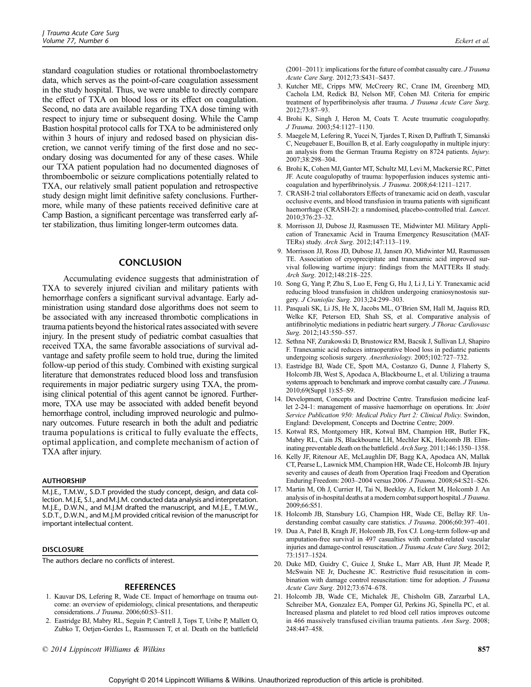standard coagulation studies or rotational thromboelastometry data, which serves as the point-of-care coagulation assessment in the study hospital. Thus, we were unable to directly compare the effect of TXA on blood loss or its effect on coagulation. Second, no data are available regarding TXA dose timing with respect to injury time or subsequent dosing. While the Camp Bastion hospital protocol calls for TXA to be administered only within 3 hours of injury and redosed based on physician discretion, we cannot verify timing of the first dose and no secondary dosing was documented for any of these cases. While our TXA patient population had no documented diagnoses of thromboembolic or seizure complications potentially related to TXA, our relatively small patient population and retrospective study design might limit definitive safety conclusions. Furthermore, while many of these patients received definitive care at Camp Bastion, a significant percentage was transferred early after stabilization, thus limiting longer-term outcomes data.

# **CONCLUSION**

Accumulating evidence suggests that administration of TXA to severely injured civilian and military patients with hemorrhage confers a significant survival advantage. Early administration using standard dose algorithms does not seem to be associated with any increased thrombotic complications in trauma patients beyond the historical rates associated with severe injury. In the present study of pediatric combat casualties that received TXA, the same favorable associations of survival advantage and safety profile seem to hold true, during the limited follow-up period of this study. Combined with existing surgical literature that demonstrates reduced blood loss and transfusion requirements in major pediatric surgery using TXA, the promising clinical potential of this agent cannot be ignored. Furthermore, TXA use may be associated with added benefit beyond hemorrhage control, including improved neurologic and pulmonary outcomes. Future research in both the adult and pediatric trauma populations is critical to fully evaluate the effects, optimal application, and complete mechanism of action of TXA after injury.

#### AUTHORSHIP

M.J.E., T.M.W., S.D.T provided the study concept, design, and data collection. M.J.E, S.I., and M.J.M. conducted data analysis and interpretation. M.J.E., D.W.N., and M.J.M drafted the manuscript, and M.J.E., T.M.W., S.D.T., D.W.N., and M.J.M provided critical revision of the manuscript for important intellectual content.

#### **DISCLOSURE**

The authors declare no conflicts of interest.

#### REFERENCES

- 1. Kauvar DS, Lefering R, Wade CE. Impact of hemorrhage on trauma outcome: an overview of epidemiology, clinical presentations, and therapeutic considerations.  $J$  Trauma. 2006;60:S3-S11.
- 2. Eastridge BJ, Mabry RL, Seguin P, Cantrell J, Tops T, Uribe P, Mallett O, Zubko T, Oetjen-Gerdes L, Rasmussen T, et al. Death on the battlefield
- $\odot$  2014 Lippincott Williams & Wilkins 857

 $(2001-2011)$ : implications for the future of combat casualty care. J Trauma Acute Care Surg. 2012;73:S431-S437.

- 3. Kutcher ME, Cripps MW, McCreery RC, Crane IM, Greenberg MD, Cachola LM, Redick BJ, Nelson MF, Cohen MJ. Criteria for empiric treatment of hyperfibrinolysis after trauma. J Trauma Acute Care Surg. 2012:73:87-93.
- 4. Brohi K, Singh J, Heron M, Coats T. Acute traumatic coagulopathy. J Trauma. 2003;54:1127-1130.
- 5. Maegele M, Lefering R, Yucei N, Tjardes T, Rixen D, Paffrath T, Simanski C, Neugebauer E, Bouillon B, et al. Early coagulopathy in multiple injury: an analysis from the German Trauma Registry on 8724 patients. Injury. 2007:38:298-304.
- 6. Brohi K, Cohen MJ, Ganter MT, Schultz MJ, Levi M, Mackersie RC, Pittet JF. Acute coagulopathy of trauma: hypoperfusion induces systemic anticoagulation and hyperfibrinolysis. J Trauma. 2008;64:1211-1217.
- 7. CRASH-2 trial collaborators Effects of tranexamic acid on death, vascular occlusive events, and blood transfusion in trauma patients with significant haemorrhage (CRASH-2): a randomised, placebo-controlled trial. Lancet. 2010;376:23-32.
- 8. Morrisson JJ, Dubose JJ, Rasmussen TE, Midwinter MJ. Military Application of Tranexamic Acid in Trauma Emergency Resuscitation (MAT-TERs) study. Arch Surg. 2012;147:113-119.
- 9. Morrisson JJ, Ross JD, Dubose JJ, Jansen JO, Midwinter MJ, Rasmussen TE. Association of cryoprecipitate and tranexamic acid improved survival following wartime injury: findings from the MATTERs II study. Arch Surg. 2012;148:218-225.
- 10. Song G, Yang P, Zhu S, Luo E, Feng G, Hu J, Li J, Li Y. Tranexamic acid reducing blood transfusion in children undergoing craniosynostosis surgery. J Craniofac Surg. 2013;24:299-303.
- 11. Pasquali SK, Li JS, He X, Jacobs ML, O'Brien SM, Hall M, Jaquiss RD, Welke KF, Peterson ED, Shah SS, et al. Comparative analysis of antifibrinolytic mediations in pediatric heart surgery. J Thorac Cardiovasc Surg. 2012:143:550–557.
- 12. Sethna NF, Zurakowski D, Brustowicz RM, Bacsik J, Sullivan LJ, Shapiro F. Tranexamic acid reduces intraoperative blood loss in pediatric patients undergoing scoliosis surgery. Anesthesiology. 2005;102:727-732.
- 13. Eastridge BJ, Wade CE, Spott MA, Costanzo G, Dunne J, Flaherty S, Holcomb JB, West S, Apodaca A, Blackbourne L, et al. Utilizing a trauma systems approach to benchmark and improve combat casualty care. J Trauma. 2010;69(Suppl 1):S5-S9.
- 14. Development, Concepts and Doctrine Centre. Transfusion medicine leaflet 2-24-1: management of massive haemorrhage on operations. In: Joint Service Publication 950: Medical Policy Part 2: Clinical Policy. Swindon, England: Development, Concepts and Doctrine Centre; 2009.
- 15. Kotwal RS, Montgomery HR, Kotwal BM, Champion HR, Butler FK, Mabry RL, Cain JS, Blackbourne LH, Mechler KK, Holcomb JB. Eliminating preventable death on the battlefield. Arch Surg. 2011;146:1350-1358.
- 16. Kelly JF, Ritenour AE, McLaughlin DF, Bagg KA, Apodaca AN, Mallak CT, Pearse L, Lawnick MM, Champion HR, Wade CE, Holcomb JB. Injury severity and causes of death from Operation Iraqi Freedom and Operation Enduring Freedom: 2003-2004 versus 2006. J Trauma. 2008;64:S21-S26.
- 17. Martin M, Oh J, Currier H, Tai N, Beekley A, Eckert M, Holcomb J. An analysis of in-hospital deaths at a modern combat support hospital. J Trauma. 2009;66:S51.
- 18. Holcomb JB, Stansbury LG, Champion HR, Wade CE, Bellay RF. Understanding combat casualty care statistics.  $J$  Trauma. 2006;60:397-401.
- 19. Dua A, Patel B, Kragh JF, Holcomb JB, Fox CJ. Long-term follow-up and amputation-free survival in 497 casualties with combat-related vascular injuries and damage-control resuscitation. J Trauma Acute Care Surg. 2012; 73:1517-1524.
- 20. Duke MD, Guidry C, Guice J, Stuke L, Marr AB, Hunt JP, Meade P, McSwain NE Jr, Duchesne JC. Restrictive fluid resuscitation in combination with damage control resuscitation: time for adoption. J Trauma Acute Care Surg. 2012;73:674-678.
- 21. Holcomb JB, Wade CE, Michalek JE, Chisholm GB, Zarzarbal LA, Schreiber MA, Gonzalez EA, Pomper GJ, Perkins JG, Spinella PC, et al. Increased plasma and platelet to red blood cell ratios improves outcome in 466 massively transfused civilian trauma patients. Ann Surg. 2008; 248:447-458.